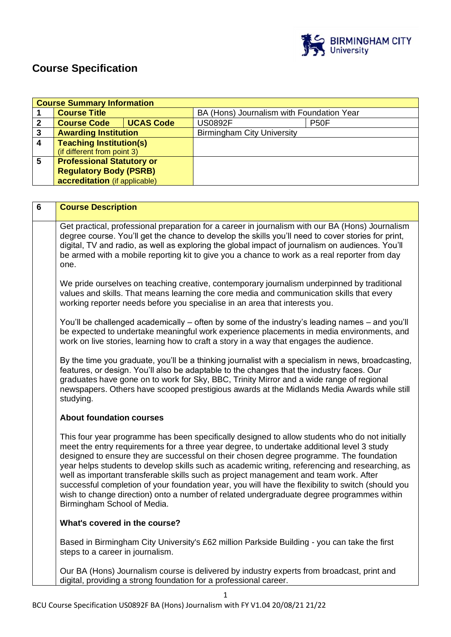

# **Course Specification**

|                         | <b>Course Summary Information</b>                                                                                                                                                                                                                                                                                                                                                                                                                                                                                                                                                                                                                                                    |                  |                                                                                                                                                                                                                                                                                                                                                                                                                                                                                                                                                                                                                                                                                        |  |  |
|-------------------------|--------------------------------------------------------------------------------------------------------------------------------------------------------------------------------------------------------------------------------------------------------------------------------------------------------------------------------------------------------------------------------------------------------------------------------------------------------------------------------------------------------------------------------------------------------------------------------------------------------------------------------------------------------------------------------------|------------------|----------------------------------------------------------------------------------------------------------------------------------------------------------------------------------------------------------------------------------------------------------------------------------------------------------------------------------------------------------------------------------------------------------------------------------------------------------------------------------------------------------------------------------------------------------------------------------------------------------------------------------------------------------------------------------------|--|--|
| 1                       | <b>Course Title</b>                                                                                                                                                                                                                                                                                                                                                                                                                                                                                                                                                                                                                                                                  |                  | BA (Hons) Journalism with Foundation Year                                                                                                                                                                                                                                                                                                                                                                                                                                                                                                                                                                                                                                              |  |  |
| $\mathbf{2}$            | <b>Course Code</b>                                                                                                                                                                                                                                                                                                                                                                                                                                                                                                                                                                                                                                                                   | <b>UCAS Code</b> | <b>US0892F</b><br><b>P50F</b>                                                                                                                                                                                                                                                                                                                                                                                                                                                                                                                                                                                                                                                          |  |  |
| $\overline{\mathbf{3}}$ | <b>Awarding Institution</b>                                                                                                                                                                                                                                                                                                                                                                                                                                                                                                                                                                                                                                                          |                  | <b>Birmingham City University</b>                                                                                                                                                                                                                                                                                                                                                                                                                                                                                                                                                                                                                                                      |  |  |
| 4                       | <b>Teaching Institution(s)</b><br>(if different from point 3)                                                                                                                                                                                                                                                                                                                                                                                                                                                                                                                                                                                                                        |                  |                                                                                                                                                                                                                                                                                                                                                                                                                                                                                                                                                                                                                                                                                        |  |  |
| 5                       | <b>Professional Statutory or</b>                                                                                                                                                                                                                                                                                                                                                                                                                                                                                                                                                                                                                                                     |                  |                                                                                                                                                                                                                                                                                                                                                                                                                                                                                                                                                                                                                                                                                        |  |  |
|                         | <b>Regulatory Body (PSRB)</b>                                                                                                                                                                                                                                                                                                                                                                                                                                                                                                                                                                                                                                                        |                  |                                                                                                                                                                                                                                                                                                                                                                                                                                                                                                                                                                                                                                                                                        |  |  |
|                         | accreditation (if applicable)                                                                                                                                                                                                                                                                                                                                                                                                                                                                                                                                                                                                                                                        |                  |                                                                                                                                                                                                                                                                                                                                                                                                                                                                                                                                                                                                                                                                                        |  |  |
|                         |                                                                                                                                                                                                                                                                                                                                                                                                                                                                                                                                                                                                                                                                                      |                  |                                                                                                                                                                                                                                                                                                                                                                                                                                                                                                                                                                                                                                                                                        |  |  |
| $6\phantom{1}$          | <b>Course Description</b>                                                                                                                                                                                                                                                                                                                                                                                                                                                                                                                                                                                                                                                            |                  |                                                                                                                                                                                                                                                                                                                                                                                                                                                                                                                                                                                                                                                                                        |  |  |
|                         |                                                                                                                                                                                                                                                                                                                                                                                                                                                                                                                                                                                                                                                                                      |                  |                                                                                                                                                                                                                                                                                                                                                                                                                                                                                                                                                                                                                                                                                        |  |  |
|                         | one.                                                                                                                                                                                                                                                                                                                                                                                                                                                                                                                                                                                                                                                                                 |                  | Get practical, professional preparation for a career in journalism with our BA (Hons) Journalism<br>degree course. You'll get the chance to develop the skills you'll need to cover stories for print,<br>digital, TV and radio, as well as exploring the global impact of journalism on audiences. You'll<br>be armed with a mobile reporting kit to give you a chance to work as a real reporter from day<br>We pride ourselves on teaching creative, contemporary journalism underpinned by traditional<br>values and skills. That means learning the core media and communication skills that every<br>working reporter needs before you specialise in an area that interests you. |  |  |
|                         | You'll be challenged academically – often by some of the industry's leading names – and you'll<br>be expected to undertake meaningful work experience placements in media environments, and<br>work on live stories, learning how to craft a story in a way that engages the audience.<br>By the time you graduate, you'll be a thinking journalist with a specialism in news, broadcasting,<br>features, or design. You'll also be adaptable to the changes that the industry faces. Our<br>graduates have gone on to work for Sky, BBC, Trinity Mirror and a wide range of regional<br>newspapers. Others have scooped prestigious awards at the Midlands Media Awards while still |                  |                                                                                                                                                                                                                                                                                                                                                                                                                                                                                                                                                                                                                                                                                        |  |  |
|                         | studying.<br><b>About foundation courses</b>                                                                                                                                                                                                                                                                                                                                                                                                                                                                                                                                                                                                                                         |                  |                                                                                                                                                                                                                                                                                                                                                                                                                                                                                                                                                                                                                                                                                        |  |  |
|                         | This four year programme has been specifically designed to allow students who do not initially<br>meet the entry requirements for a three year degree, to undertake additional level 3 study<br>designed to ensure they are successful on their chosen degree programme. The foundation<br>well as important transferable skills such as project management and team work. After<br>wish to change direction) onto a number of related undergraduate degree programmes within<br>Birmingham School of Media.                                                                                                                                                                         |                  | year helps students to develop skills such as academic writing, referencing and researching, as<br>successful completion of your foundation year, you will have the flexibility to switch (should you                                                                                                                                                                                                                                                                                                                                                                                                                                                                                  |  |  |
|                         | What's covered in the course?                                                                                                                                                                                                                                                                                                                                                                                                                                                                                                                                                                                                                                                        |                  |                                                                                                                                                                                                                                                                                                                                                                                                                                                                                                                                                                                                                                                                                        |  |  |
|                         | steps to a career in journalism.                                                                                                                                                                                                                                                                                                                                                                                                                                                                                                                                                                                                                                                     |                  | Based in Birmingham City University's £62 million Parkside Building - you can take the first                                                                                                                                                                                                                                                                                                                                                                                                                                                                                                                                                                                           |  |  |
|                         |                                                                                                                                                                                                                                                                                                                                                                                                                                                                                                                                                                                                                                                                                      |                  | Our BA (Hons) Journalism course is delivered by industry experts from broadcast, print and<br>digital, providing a strong foundation for a professional career.                                                                                                                                                                                                                                                                                                                                                                                                                                                                                                                        |  |  |

1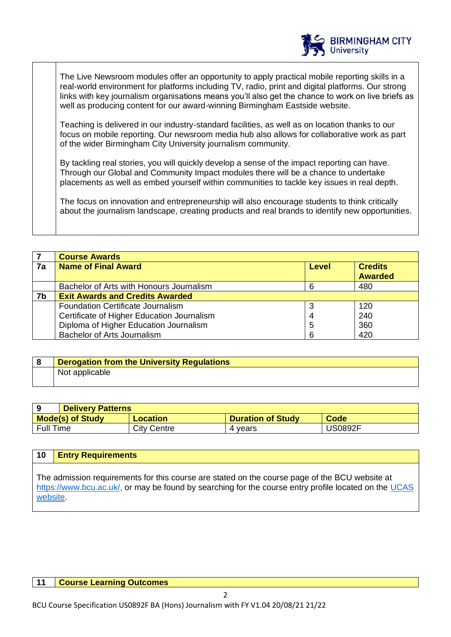

The Live Newsroom modules offer an opportunity to apply practical mobile reporting skills in a real-world environment for platforms including TV, radio, print and digital platforms. Our strong links with key journalism organisations means you'll also get the chance to work on live briefs as well as producing content for our award-winning Birmingham Eastside website.

Teaching is delivered in our industry-standard facilities, as well as on location thanks to our focus on mobile reporting. Our newsroom media hub also allows for collaborative work as part of the wider Birmingham City University journalism community.

By tackling real stories, you will quickly develop a sense of the impact reporting can have. Through our Global and Community Impact modules there will be a chance to undertake placements as well as embed yourself within communities to tackle key issues in real depth.

The focus on innovation and entrepreneurship will also encourage students to think critically about the journalism landscape, creating products and real brands to identify new opportunities.

|    | <b>Course Awards</b>                       |              |                                  |
|----|--------------------------------------------|--------------|----------------------------------|
| 7a | <b>Name of Final Award</b>                 | <b>Level</b> | <b>Credits</b><br><b>Awarded</b> |
|    | Bachelor of Arts with Honours Journalism   | 6            | 480                              |
| 7b | <b>Exit Awards and Credits Awarded</b>     |              |                                  |
|    | Foundation Certificate Journalism          |              | 120                              |
|    | Certificate of Higher Education Journalism | 4            | 240                              |
|    | Diploma of Higher Education Journalism     | 5            | 360                              |
|    | Bachelor of Arts Journalism                | 6            | 420                              |

# **8 Derogation from the University Regulations**  Not applicable

|                         | <b>Delivery Patterns</b> |                          |         |
|-------------------------|--------------------------|--------------------------|---------|
| <b>Mode(s) of Study</b> | Location                 | <b>Duration of Study</b> | Code    |
| <b>Full Time</b>        | City Centre              | 4 vears                  | JS0892F |

| 10      | <b>Entry Requirements</b>                                                                                                                                                                               |
|---------|---------------------------------------------------------------------------------------------------------------------------------------------------------------------------------------------------------|
| website | The admission requirements for this course are stated on the course page of the BCU website at<br>https://www.bcu.ac.uk/, or may be found by searching for the course entry profile located on the UCAS |

#### **11 Course Learning Outcomes**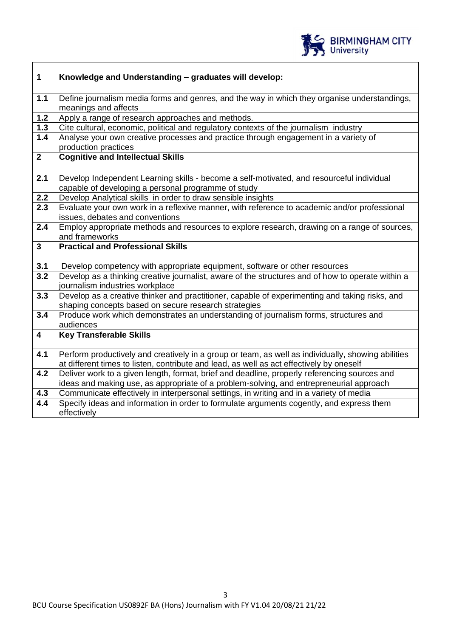

| $\mathbf{1}$            | Knowledge and Understanding - graduates will develop:                                                                                                                                          |  |  |
|-------------------------|------------------------------------------------------------------------------------------------------------------------------------------------------------------------------------------------|--|--|
|                         |                                                                                                                                                                                                |  |  |
| $1.1$                   | Define journalism media forms and genres, and the way in which they organise understandings,<br>meanings and affects                                                                           |  |  |
| $1.2$                   | Apply a range of research approaches and methods.                                                                                                                                              |  |  |
| $1.3$                   | Cite cultural, economic, political and regulatory contexts of the journalism industry                                                                                                          |  |  |
| $1.4$                   | Analyse your own creative processes and practice through engagement in a variety of                                                                                                            |  |  |
|                         | production practices                                                                                                                                                                           |  |  |
| $\mathbf{2}$            | <b>Cognitive and Intellectual Skills</b>                                                                                                                                                       |  |  |
|                         |                                                                                                                                                                                                |  |  |
| 2.1                     | Develop Independent Learning skills - become a self-motivated, and resourceful individual                                                                                                      |  |  |
|                         | capable of developing a personal programme of study                                                                                                                                            |  |  |
| 2.2                     | Develop Analytical skills in order to draw sensible insights                                                                                                                                   |  |  |
| 2.3                     | Evaluate your own work in a reflexive manner, with reference to academic and/or professional                                                                                                   |  |  |
|                         | issues, debates and conventions                                                                                                                                                                |  |  |
| 2.4                     | Employ appropriate methods and resources to explore research, drawing on a range of sources,                                                                                                   |  |  |
|                         | and frameworks                                                                                                                                                                                 |  |  |
| $\overline{3}$          | <b>Practical and Professional Skills</b>                                                                                                                                                       |  |  |
| 3.1                     | Develop competency with appropriate equipment, software or other resources                                                                                                                     |  |  |
| 3.2                     | Develop as a thinking creative journalist, aware of the structures and of how to operate within a                                                                                              |  |  |
|                         |                                                                                                                                                                                                |  |  |
|                         | journalism industries workplace                                                                                                                                                                |  |  |
| 3.3                     | Develop as a creative thinker and practitioner, capable of experimenting and taking risks, and                                                                                                 |  |  |
|                         | shaping concepts based on secure research strategies                                                                                                                                           |  |  |
| 3.4                     | Produce work which demonstrates an understanding of journalism forms, structures and                                                                                                           |  |  |
|                         | audiences                                                                                                                                                                                      |  |  |
| $\overline{\mathbf{4}}$ | <b>Key Transferable Skills</b>                                                                                                                                                                 |  |  |
|                         |                                                                                                                                                                                                |  |  |
| 4.1                     | Perform productively and creatively in a group or team, as well as individually, showing abilities<br>at different times to listen, contribute and lead, as well as act effectively by oneself |  |  |
| 4.2                     | Deliver work to a given length, format, brief and deadline, properly referencing sources and                                                                                                   |  |  |
|                         | ideas and making use, as appropriate of a problem-solving, and entrepreneurial approach                                                                                                        |  |  |
| 4.3                     | Communicate effectively in interpersonal settings, in writing and in a variety of media                                                                                                        |  |  |
| 4.4                     | Specify ideas and information in order to formulate arguments cogently, and express them<br>effectively                                                                                        |  |  |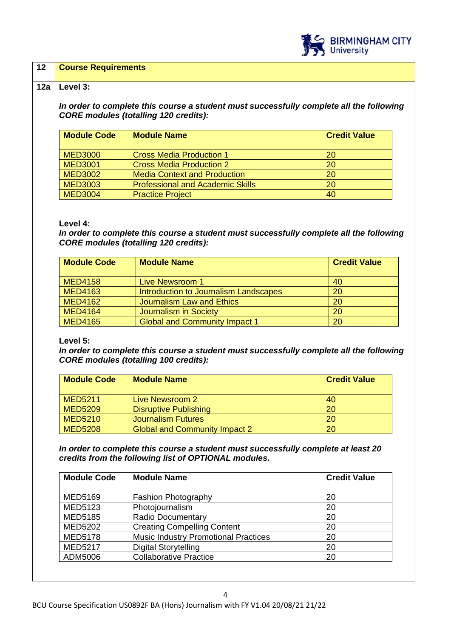

## **12 Course Requirements**

#### **12a Level 3:**

*In order to complete this course a student must successfully complete all the following CORE modules (totalling 120 credits):*

| <b>Module Code</b> | <b>Module Name</b>                      | <b>Credit Value</b> |
|--------------------|-----------------------------------------|---------------------|
| <b>MED3000</b>     | <b>Cross Media Production 1</b>         | 20                  |
| <b>MED3001</b>     | <b>Cross Media Production 2</b>         | 20                  |
| <b>MED3002</b>     | <b>Media Context and Production</b>     | 20                  |
| <b>MED3003</b>     | <b>Professional and Academic Skills</b> | 20                  |
| <b>MED3004</b>     | <b>Practice Project</b>                 | 40                  |

#### **Level 4:**

*In order to complete this course a student must successfully complete all the following CORE modules (totalling 120 credits):*

| <b>Module Code</b> | <b>Module Name</b>                         | <b>Credit Value</b> |
|--------------------|--------------------------------------------|---------------------|
| <b>MED4158</b>     | <b>Live Newsroom 1</b>                     | 40                  |
| <b>MED4163</b>     | Introduction to Journalism Landscapes      | 20                  |
| <b>MED4162</b>     | Journalism Law and Ethics                  | 20                  |
| <b>MED4164</b>     | Journalism in Society                      | 20                  |
| <b>MED4165</b>     | <b>Global and Community Impact 1</b><br>20 |                     |

## **Level 5:**

*In order to complete this course a student must successfully complete all the following CORE modules (totalling 100 credits):*

| <b>Module Code</b> | <b>Module Name</b>                   | <b>Credit Value</b> |
|--------------------|--------------------------------------|---------------------|
| <b>MED5211</b>     | Live Newsroom 2                      | 40                  |
| <b>MED5209</b>     | <b>Disruptive Publishing</b>         | 20                  |
| <b>MED5210</b>     | <b>Journalism Futures</b>            | 20                  |
| <b>MED5208</b>     | <b>Global and Community Impact 2</b> | 20                  |

*In order to complete this course a student must successfully complete at least 20 credits from the following list of OPTIONAL modules.* 

| <b>Module Code</b> | <b>Module Name</b>                          | <b>Credit Value</b> |
|--------------------|---------------------------------------------|---------------------|
|                    |                                             |                     |
| <b>MED5169</b>     | <b>Fashion Photography</b>                  | 20                  |
| <b>MED5123</b>     | Photojournalism                             | 20                  |
| <b>MED5185</b>     | <b>Radio Documentary</b><br>20              |                     |
| <b>MED5202</b>     | <b>Creating Compelling Content</b>          | 20                  |
| <b>MED5178</b>     | <b>Music Industry Promotional Practices</b> | 20                  |
| <b>MED5217</b>     | <b>Digital Storytelling</b>                 | 20                  |
| ADM5006            | <b>Collaborative Practice</b><br>20         |                     |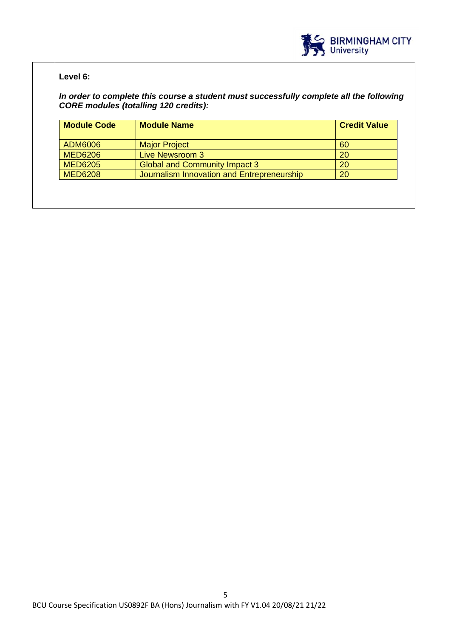

# **Level 6:**

*In order to complete this course a student must successfully complete all the following CORE modules (totalling 120 credits):*

| <b>Module Name</b>                         | <b>Credit Value</b> |
|--------------------------------------------|---------------------|
| <b>Major Project</b>                       | 60                  |
| Live Newsroom 3                            | 20                  |
| <b>Global and Community Impact 3</b>       | 20                  |
| Journalism Innovation and Entrepreneurship | 20                  |
|                                            |                     |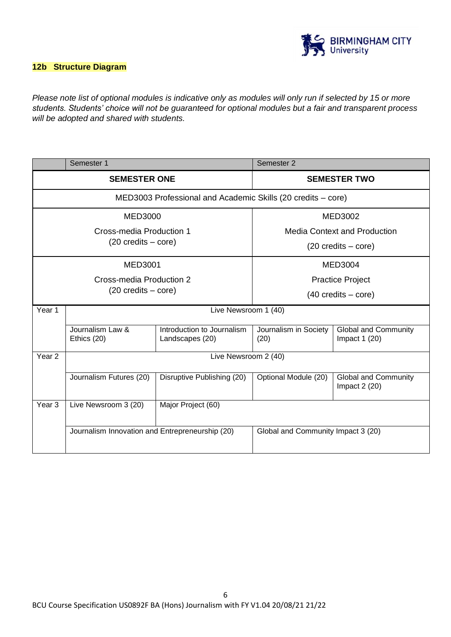

## **12b Structure Diagram**

*Please note list of optional modules is indicative only as modules will only run if selected by 15 or more students. Students' choice will not be guaranteed for optional modules but a fair and transparent process will be adopted and shared with students.*

|                                      | Semester 1                                      |                                                              | Semester 2                           |                                               |
|--------------------------------------|-------------------------------------------------|--------------------------------------------------------------|--------------------------------------|-----------------------------------------------|
|                                      | <b>SEMESTER ONE</b>                             |                                                              | <b>SEMESTER TWO</b>                  |                                               |
|                                      |                                                 | MED3003 Professional and Academic Skills (20 credits – core) |                                      |                                               |
|                                      | <b>MED3000</b>                                  |                                                              |                                      | <b>MED3002</b>                                |
|                                      | Cross-media Production 1                        |                                                              | <b>Media Context and Production</b>  |                                               |
|                                      | $(20 \text{ credits} - \text{core})$            |                                                              | $(20 \text{ credits} - \text{core})$ |                                               |
|                                      | MED3001                                         |                                                              |                                      | <b>MED3004</b>                                |
|                                      | Cross-media Production 2                        |                                                              | <b>Practice Project</b>              |                                               |
| $(20 \text{ credits} - \text{core})$ |                                                 |                                                              | $(40 \text{ credits} - \text{core})$ |                                               |
| Year 1                               | Live Newsroom 1 (40)                            |                                                              |                                      |                                               |
|                                      | Journalism Law &<br>Ethics (20)                 | Introduction to Journalism<br>Landscapes (20)                | Journalism in Society<br>(20)        | <b>Global and Community</b><br>Impact $1(20)$ |
| Year <sub>2</sub>                    |                                                 | Live Newsroom 2 (40)                                         |                                      |                                               |
|                                      | Journalism Futures (20)                         | Disruptive Publishing (20)                                   | Optional Module (20)                 | <b>Global and Community</b><br>Impact $2(20)$ |
| Year <sub>3</sub>                    | Live Newsroom 3 (20)                            | Major Project (60)                                           |                                      |                                               |
|                                      | Journalism Innovation and Entrepreneurship (20) |                                                              | Global and Community Impact 3 (20)   |                                               |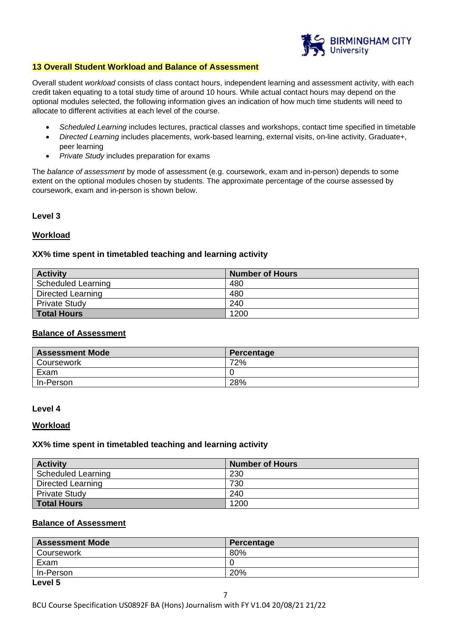

#### **13 Overall Student Workload and Balance of Assessment**

Overall student *workload* consists of class contact hours, independent learning and assessment activity, with each credit taken equating to a total study time of around 10 hours. While actual contact hours may depend on the optional modules selected, the following information gives an indication of how much time students will need to allocate to different activities at each level of the course.

- *Scheduled Learning* includes lectures, practical classes and workshops, contact time specified in timetable
- *Directed Learning* includes placements, work-based learning, external visits, on-line activity, Graduate+, peer learning
- *Private Study* includes preparation for exams

The *balance of assessment* by mode of assessment (e.g. coursework, exam and in-person) depends to some extent on the optional modules chosen by students. The approximate percentage of the course assessed by coursework, exam and in-person is shown below.

## **Level 3**

## **Workload**

## **XX% time spent in timetabled teaching and learning activity**

| <b>Activity</b>      | <b>Number of Hours</b> |
|----------------------|------------------------|
| Scheduled Learning   | 480                    |
| Directed Learning    | 480                    |
| <b>Private Study</b> | 240                    |
| <b>Total Hours</b>   | 1200                   |

#### **Balance of Assessment**

| <b>Assessment Mode</b> | Percentage |
|------------------------|------------|
| <b>Coursework</b>      | 72%        |
| Exam                   |            |
| In-Person              | 28%        |

#### **Level 4**

#### **Workload**

#### **XX% time spent in timetabled teaching and learning activity**

| <b>Activity</b>          | <b>Number of Hours</b> |
|--------------------------|------------------------|
| Scheduled Learning       | 230                    |
| <b>Directed Learning</b> | 730                    |
| <b>Private Study</b>     | 240                    |
| <b>Total Hours</b>       | 1200                   |

# **Balance of Assessment**

| <b>Assessment Mode</b> | Percentage |
|------------------------|------------|
| Coursework             | 80%        |
| Exam                   |            |
| In-Person              | 20%        |
| .                      |            |